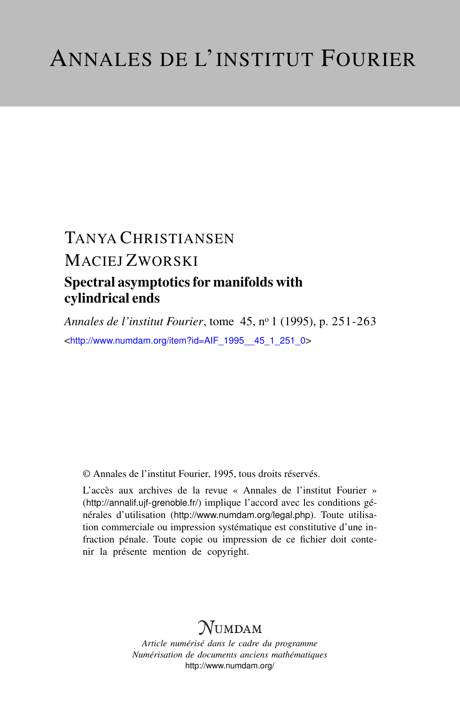# TANYA CHRISTIANSEN MACIEJ ZWORSKI Spectral asymptotics for manifolds with cylindrical ends

*Annales de l'institut Fourier*, tome 45, n<sup>o</sup> 1 (1995), p. 251-263 <[http://www.numdam.org/item?id=AIF\\_1995\\_\\_45\\_1\\_251\\_0](http://www.numdam.org/item?id=AIF_1995__45_1_251_0)>

© Annales de l'institut Fourier, 1995, tous droits réservés.

L'accès aux archives de la revue « Annales de l'institut Fourier » (<http://annalif.ujf-grenoble.fr/>) implique l'accord avec les conditions générales d'utilisation (<http://www.numdam.org/legal.php>). Toute utilisation commerciale ou impression systématique est constitutive d'une infraction pénale. Toute copie ou impression de ce fichier doit contenir la présente mention de copyright.

# NUMDAM

*Article numérisé dans le cadre du programme Numérisation de documents anciens mathématiques* <http://www.numdam.org/>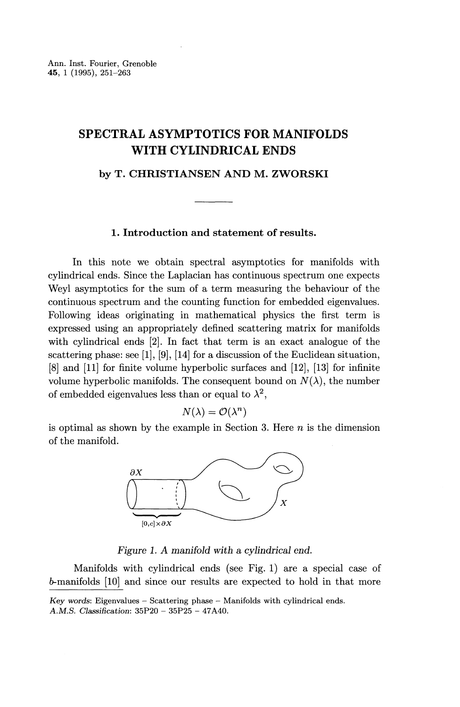## **SPECTRAL ASYMPTOTICS FOR MANIFOLDS WITH CYLINDRICAL ENDS**

**by T. CHRISTIANSEN AND M. ZWORSKI**

### **1. Introduction and statement of results.**

In this note we obtain spectral asymptotics for manifolds with cylindrical ends. Since the Laplacian has continuous spectrum one expects Weyl asymptotics for the sum of a term measuring the behaviour of the continuous spectrum and the counting function for embedded eigenvalues. Following ideas originating in mathematical physics the first term is expressed using an appropriately defined scattering matrix for manifolds with cylindrical ends [2]. In fact that term is an exact analogue of the scattering phase: see [I], [9], [14] for a discussion of the Euclidean situation, [8] and [11] for finite volume hyperbolic surfaces and [12], [13] for infinite volume hyperbolic manifolds. The consequent bound on  $N(\lambda)$ , the number of embedded eigenvalues less than or equal to  $\lambda^2$ .

$$
N(\lambda) = \mathcal{O}(\lambda^n)
$$

is optimal as shown by the example in Section 3. Here *n* is the dimension of the manifold.



*Figure 1. A manifold with a cylindrical end.*

Manifolds with cylindrical ends (see Fig. 1) are a special case of 5-manifolds [10] and since our results are expected to hold in that more

*Key words:* Eigenvalues - Scattering phase - Manifolds with cylindrical ends. A.M.S. Classification: 35P20 - 35P25 - 47A40.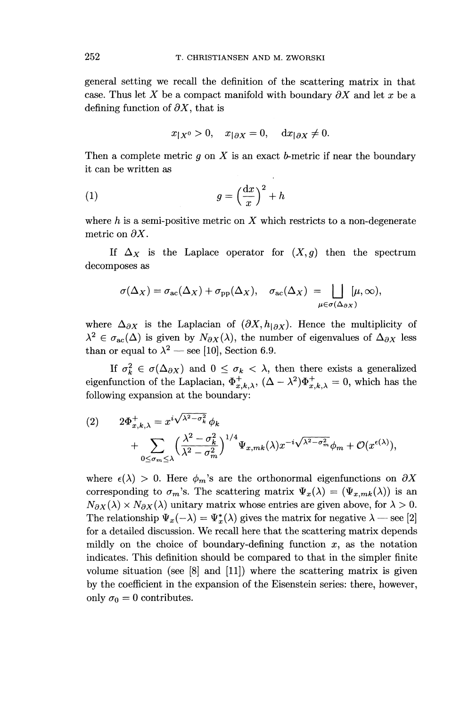general setting we recall the definition of the scattering matrix in that case. Thus let X be a compact manifold with boundary  $\partial X$  and let x be a defining function of  $\partial X$ , that is

$$
x_{|X^0} > 0
$$
,  $x_{|\partial X} = 0$ ,  $dx_{|\partial X} \neq 0$ .

Then a complete metric  $g$  on  $X$  is an exact  $b$ -metric if near the boundary it can be written as

$$
(1) \t\t g = \left(\frac{\mathrm{d}x}{x}\right)^2 + h
$$

where *h* is a semi-positive metric on *X* which restricts to a non-degenerate metric on *9X.*

If  $\Delta_X$  is the Laplace operator for  $(X,g)$  then the spectrum decomposes as

$$
\sigma(\Delta_X) = \sigma_{\rm ac}(\Delta_X) + \sigma_{\rm pp}(\Delta_X), \quad \sigma_{\rm ac}(\Delta_X) = \bigsqcup_{\mu \in \sigma(\Delta_{\partial X})} [\mu, \infty),
$$

where  $\Delta_{\partial X}$  is the Laplacian of  $(\partial X,h_{\partial X})$ . Hence the multiplicity of  $\lambda^2 \in \sigma_{ac}(\Delta)$  is given by  $N_{\partial X}(\lambda)$ , the number of eigenvalues of  $\Delta_{\partial X}$  less than or equal to  $\lambda^2$  — see [10], Section 6.9.

If  $\sigma_k^2 \in \sigma(\Delta_{\partial X})$  and  $0 \leq \sigma_k < \lambda$ , then there exists a generalized eigenfunction of the Laplacian,  $\Phi_{x,k,\lambda}^+$ ,  $(\Delta - \lambda^2) \Phi_{x,k,\lambda}^+ = 0$ , which has the following expansion at the boundary:

(2) 
$$
2\Phi_{x,k,\lambda}^{+} = x^{i\sqrt{\lambda^{2}-\sigma_{k}^{2}}} \phi_{k} + \sum_{0 \le \sigma_{m} \le \lambda} \left(\frac{\lambda^{2}-\sigma_{k}^{2}}{\lambda^{2}-\sigma_{m}^{2}}\right)^{1/4} \Psi_{x,mk}(\lambda) x^{-i\sqrt{\lambda^{2}-\sigma_{m}^{2}}} \phi_{m} + \mathcal{O}(x^{\epsilon(\lambda)}),
$$

where  $\epsilon(\lambda) > 0$ . Here  $\phi_m$ 's are the orthonormal eigenfunctions on  $\partial X$ corresponding to  $\sigma_m$ 's. The scattering matrix  $\Psi_x(\lambda) = (\Psi_{x,mk}(\lambda))$  is an  $N_{\partial X}(\lambda) \times N_{\partial X}(\lambda)$  unitary matrix whose entries are given above, for  $\lambda > 0$ . The relationship  $\Psi_x(-\lambda) = \Psi_x^*(\lambda)$  gives the matrix for negative  $\lambda$  — see [2] for a detailed discussion. We recall here that the scattering matrix depends mildly on the choice of boundary-defining function  $x$ , as the notation indicates. This definition should be compared to that in the simpler finite volume situation (see  $[8]$  and  $[11]$ ) where the scattering matrix is given by the coefficient in the expansion of the Eisenstein series: there, however, only  $\sigma_0 = 0$  contributes.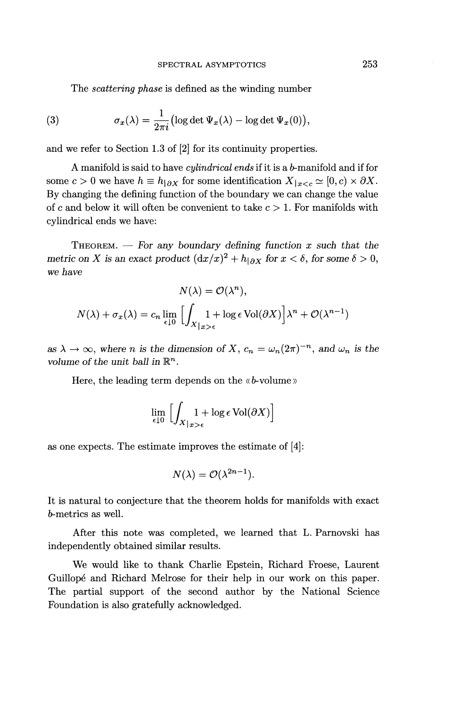The *scattering phase* is defined as the winding number

(3) 
$$
\sigma_x(\lambda) = \frac{1}{2\pi i} \left( \log \det \Psi_x(\lambda) - \log \det \Psi_x(0) \right),
$$

and we refer to Section 1.3 of [2] for its continuity properties.

A manifold is said to have *cylindrical ends* if it is a *b*-manifold and if for some  $c > 0$  we have  $h \equiv h|_{\partial X}$  for some identification  $X|_{x < c} \simeq [0, c) \times \partial X$ . By changing the defining function of the boundary we can change the value of c and below it will often be convenient to take  $c > 1$ . For manifolds with cylindrical ends we have:

THEOREM. — For *any boundary defining function x such that the metric on X is an exact product*  $\left(\frac{dx}{x}\right)^2 + h_{\vert \partial X}$  for  $x < \delta$ , for some  $\delta > 0$ , we *have*

$$
N(\lambda) = \mathcal{O}(\lambda^n),
$$
  

$$
N(\lambda) + \sigma_x(\lambda) = c_n \lim_{\epsilon \downarrow 0} \left[ \int_{X|_{x>\epsilon}} 1 + \log \epsilon \operatorname{Vol}(\partial X) \right] \lambda^n + \mathcal{O}(\lambda^{n-1})
$$

as  $\lambda \to \infty$ , where *n* is the dimension of X,  $c_n = \omega_n (2\pi)^{-n}$ , and  $\omega_n$  is the *volume of the unit ball in R"-.*

Here, the leading term depends on the «*b*-volume»

$$
\lim_{\epsilon \downarrow 0} \left[ \int_{X|_{x>\epsilon}} 1 + \log \epsilon \operatorname{Vol}(\partial X) \right]
$$

as one expects. The estimate improves the estimate of [4]:

$$
N(\lambda) = \mathcal{O}(\lambda^{2n-1}).
$$

It is natural to conjecture that the theorem holds for manifolds with exact *b-* metrics as well.

After this note was completed, we learned that L. Parnovski has independently obtained similar results.

We would like to thank Charlie Epstein, Richard Froese, Laurent Guillope and Richard Melrose for their help in our work on this paper. The partial support of the second author by the National Science Foundation is also gratefully acknowledged.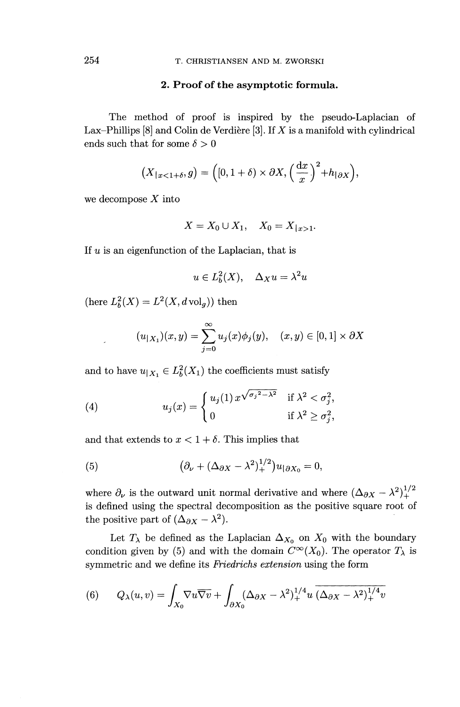### **2. Proof of the asymptotic formula.**

The method of proof is inspired by the pseudo-Laplacian of Lax-Phillips [8] and Colin de Verdiere [3]. If *X is* a manifold with cylindrical ends such that for some  $\delta > 0$ 

$$
(X_{|x<1+\delta}, g) = \left( [0, 1+\delta) \times \partial X, \left( \frac{\mathrm{d}x}{x} \right)^2 + h_{|\partial X} \right),
$$

we decompose *X* into

$$
X = X_0 \cup X_1, \quad X_0 = X_{|x > 1}.
$$

If *u* is an eigenfunction of the Laplacian, that is

$$
u \in L_b^2(X), \quad \Delta_X u = \lambda^2 u
$$

(here  $L_b^2(X) = L^2(X, d \text{ vol}_q)$ ) then

$$
(u_{|X_1})(x,y) = \sum_{j=0}^{\infty} u_j(x)\phi_j(y), \quad (x,y) \in [0,1] \times \partial X
$$

and to have  $u_{\vert X_1} \in L_b^2(X_1)$  the coefficients must satisfy

(4) 
$$
u_j(x) = \begin{cases} u_j(1) x^{\sqrt{\sigma_j^2 - \lambda^2}} & \text{if } \lambda^2 < \sigma_j^2, \\ 0 & \text{if } \lambda^2 \ge \sigma_j^2, \end{cases}
$$

and that extends to  $x < 1 + \delta$ . This implies that

(5) 
$$
\left(\partial_{\nu} + (\Delta_{\partial X} - \lambda^2)^{1/2}_+\right)u_{|\partial X_0} = 0,
$$

where  $\partial_{\nu}$  is the outward unit normal derivative and where  $(\Delta_{\partial X} - \lambda^2)^{1}_{+}$ is defined using the spectral decomposition as the positive square root of the positive part of  $(\Delta_{\partial X} - \lambda^2)$ .

Let  $T_{\lambda}$  be defined as the Laplacian  $\Delta_{X_0}$  on  $X_0$  with the boundary condition given by (5) and with the domain  $C^{\infty}(X_0)$ . The operator  $T_{\lambda}$  is symmetric and we define its *Friedrichs extension* using the form

(6) 
$$
Q_{\lambda}(u,v) = \int_{X_0} \nabla u \overline{\nabla v} + \int_{\partial X_0} (\Delta_{\partial X} - \lambda^2)_+^{1/4} u \overline{(\Delta_{\partial X} - \lambda^2)_+^{1/4} v}
$$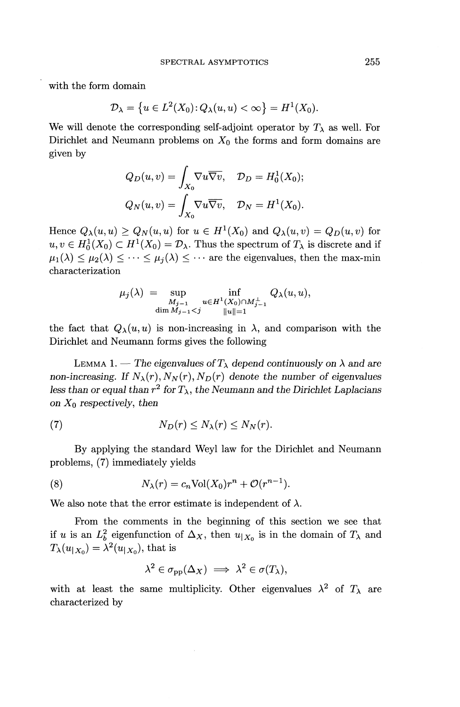with the form domain

$$
\mathcal{D}_{\lambda} = \left\{ u \in L^2(X_0) \colon Q_{\lambda}(u, u) < \infty \right\} = H^1(X_0).
$$

We will denote the corresponding self-adjoint operator by  $T_\lambda$  as well. For Dirichlet and Neumann problems on  $X_0$  the forms and form domains are given by

$$
Q_D(u, v) = \int_{X_0} \nabla u \overline{\nabla v}, \quad D_D = H_0^1(X_0);
$$
  

$$
Q_N(u, v) = \int_{X_0} \nabla u \overline{\nabla v}, \quad D_N = H^1(X_0).
$$

Hence  $Q_{\lambda}(u, u) \geq Q_N(u, u)$  for  $u \in H^1(X_0)$  and  $Q_{\lambda}(u, v) = Q_D(u, v)$  for  $u, v \in H_0^1(X_0) \subset H^1(X_0) = \mathcal{D}_\lambda$ . Thus the spectrum of  $T_\lambda$  is discrete and if  $\mu_1(\lambda) \leq \mu_2(\lambda) \leq \cdots \leq \mu_j(\lambda) \leq \cdots$  are the eigenvalues, then the max-min characterization

$$
\mu_j(\lambda) = \sup_{\substack{M_{j-1} \\ \dim M_{j-1} < j}} \inf_{\substack{u \in H^1(X_0) \cap M_{j-1}^\perp \\ \|u\|=1}} Q_\lambda(u, u),
$$

the fact that  $Q_{\lambda}(u, u)$  is non-increasing in  $\lambda$ , and comparison with the Dirichlet and Neumann forms gives the following

LEMMA 1. — The eigenvalues of  $T_{\lambda}$  depend continuously on  $\lambda$  and are *non-increasing.* If  $N_{\lambda}(r)$ ,  $N_N(r)$ ,  $N_D(r)$  denote the number of eigenvalues less than or equal than  $r^2$  for  $T_\lambda$ , the Neumann and the Dirichlet Laplacians *on XQ respectively, then*

(7) 
$$
N_D(r) \leq N_{\lambda}(r) \leq N_N(r).
$$

By applying the standard Weyl law for the Dirichlet and Neumann problems, (7) immediately yields

(8) 
$$
N_{\lambda}(r) = c_n \text{Vol}(X_0) r^n + \mathcal{O}(r^{n-1}).
$$

We also note that the error estimate is independent of  $\lambda$ .

From the comments in the beginning of this section we see that if *u* is an  $L_b^2$  eigenfunction of  $\Delta_X$ , then  $u_{|X_0}$  is in the domain of  $T_\lambda$  and  $T_{\lambda}(u_{|X_0}) = \lambda^2(u_{|X_0})$ , that is

$$
\lambda^2 \in \sigma_{\rm pp}(\Delta_X) \implies \lambda^2 \in \sigma(T_\lambda),
$$

with at least the same multiplicity. Other eigenvalues  $\lambda^2$  of  $T_\lambda$  are characterized by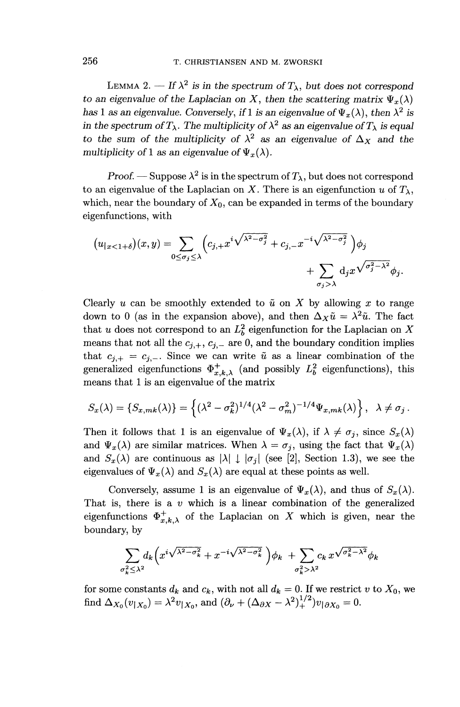LEMMA 2.  $-$  If  $\lambda^2$  is in the spectrum of  $T_{\lambda}$ , but does not correspond *to an eigenvalue of the Laplacian on X, then the scattering matrix*  $\Psi_x(\lambda)$  has 1 as an eigenvalue. Conversely, if 1 is an eigenvalue of  $\Psi_x(\lambda)$ , then  $\lambda^2$  is has 1 as an eigenvalue. Conversely, if 1 is an eigenvalue of  $\Psi_x(\lambda)$ , then  $\lambda^2$  is in the spectrum of  $T_{\lambda}$ . The multiplicity of  $\lambda^2$  as an eigenvalue of  $T_{\lambda}$  is equal to the sum of the multiplicity of  $\lambda^2$  as an eigenvalue of  $\Delta_X$  and the *multiplicity of 1 as an eigenvalue of*  $\Psi_x(\lambda)$ .

*Proof.* — Suppose  $\lambda^2$  is in the spectrum of  $T_\lambda$ , but does not correspond to an eigenvalue of the Laplacian on X. There is an eigenfunction  $u$  of  $T_{\lambda}$ , which, near the boundary of  $X_0$ , can be expanded in terms of the boundary eigenfunctions, with

$$
(u_{|x<1+\delta})(x,y) = \sum_{0 \le \sigma_j \le \lambda} \left( c_{j,+} x^{i \sqrt{\lambda^2 - \sigma_j^2}} + c_{j,-} x^{-i \sqrt{\lambda^2 - \sigma_j^2}} \right) \phi_j
$$

$$
+ \sum_{\sigma_j > \lambda} d_j x^{\sqrt{\sigma_j^2 - \lambda^2}} \phi_j.
$$

Clearly *u* can be smoothly extended to  $\tilde{u}$  on X by allowing x to range down to 0 (as in the expansion above), and then  $\Delta_X \tilde{u} = \lambda^2 \tilde{u}$ . The factorthat *u* does not correspond to an  $L<sub>i</sub><sup>2</sup>$  eigenfunction for the Laplacian on  $\lambda$ means that not all the  $c_{j,+}$ ,  $c_{j,-}$  are 0, and the boundary condition implies that  $c_{j,+} = c_{j,-}$ . Since we can write  $\tilde{u}$  as a linear combination of the that  $c_{j,+} = c_{j,-}$ . Since we can write  $\tilde{u}$  as a linear combination of the generalized eigenfunctions  $\Phi^+_{x,k,\lambda}$  (and possibly  $L_b^2$  eigenfunctions), this means that 1 is an eigenvalue of the matrix

$$
S_x(\lambda) = \{S_{x,mk}(\lambda)\} = \left\{ (\lambda^2 - \sigma_k^2)^{1/4} (\lambda^2 - \sigma_m^2)^{-1/4} \Psi_{x,mk}(\lambda) \right\}, \quad \lambda \neq \sigma_j.
$$

Then it follows that 1 is an eigenvalue of  $\Psi_x(\lambda)$ , if  $\lambda \neq \sigma_j$ , since  $S_x(\lambda)$ and  $\Psi_x(\lambda)$  are similar matrices. When  $\lambda = \sigma_i$ , using the fact that  $\Psi_x(\lambda)$ and  $S_{x}(\lambda)$  are continuous as  $|\lambda| \downarrow |\sigma_j|$  (see [2], Section 1.3), we see the eigenvalues of  $\Psi_x(\lambda)$  and  $S_x(\lambda)$  are equal at these points as well.

Conversely, assume 1 is an eigenvalue of  $\Psi_x(\lambda)$ , and thus of  $S_x(\lambda)$ . That is, there is a *v* which is a linear combination of the generalized eigenfunctions  $\Phi^+_{x,k,\lambda}$  of the Laplacian on X which is given, near the boundary, by

$$
\sum_{\sigma_k^2 \leq \lambda^2} d_k \left( x^i \sqrt{\lambda^2 - \sigma_k^2} + x^{-i} \sqrt{\lambda^2 - \sigma_k^2} \right) \phi_k + \sum_{\sigma_k^2 > \lambda^2} c_k x^{\sqrt{\sigma_k^2 - \lambda^2}} \phi_k
$$

for some constants  $d_k$  and  $c_k$ , with not all  $d_k = 0$ . If we restrict v to  $X_0$ , we for some constants  $d_k$  and  $c_k$ , with not all  $d_k = 0$ . If we restrict find  $\Delta_{X_0}(v_{|X_0}) = \lambda^2 v_{|X_0}$ , and  $(\partial_\nu + (\Delta_{\partial X} - \lambda^2)^{1/2}_+) v_{|{\partial X_0}} = 0$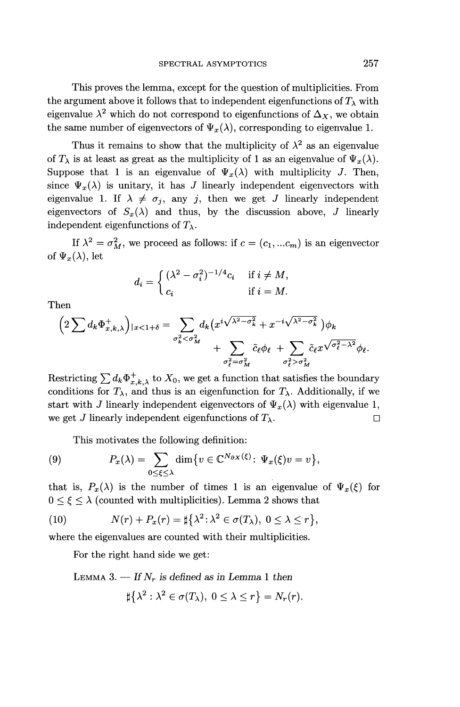This proves the lemma, except for the question of multiplicities. From the argument above it follows that to independent eigenfunctions of  $T_\lambda$  with eigenvalue  $\lambda^2$  which do not correspond to eigenfunctions of  $\Delta_X^{},$  we obtain the same number of eigenvectors of  $\Psi_x(\lambda)$ , corresponding to eigenvalue 1.

Thus it remains to show that the multiplicity of  $\lambda^2$  as an eigenvalue of  $T_{\lambda}$  is at least as great as the multiplicity of 1 as an eigenvalue of  $\Psi_x(\lambda)$ . Suppose that 1 is an eigenvalue of  $\Psi_x(\lambda)$  with multiplicity *J*. Then, since  $\Psi_x(\lambda)$  is unitary, it has *J* linearly independent eigenvectors with eigenvalue 1. If  $\lambda \neq \sigma_i$ , any j, then we get *J* linearly independent eigenvectors of  $S_x(\lambda)$  and thus, by the discussion above, *J* linearly independent eigenfunctions of  $T_{\lambda}$ .

If  $\lambda^2 = \sigma_M^2$ , we proceed as follows: if  $c = (c_1, ... c_m)$  is an eigenvector of  $\Psi_x(\lambda)$ , let

$$
d_i = \begin{cases} (\lambda^2 - \sigma_i^2)^{-1/4} c_i & \text{if } i \neq M, \\ c_i & \text{if } i = M. \end{cases}
$$

Then

$$
\left(2\sum d_k\Phi_{x,k,\lambda}^+\right)|_{x<1+\delta}=\sum_{\sigma_k^2<\sigma_M^2}d_k\left(x^i\sqrt{\lambda^2-\sigma_k^2}+x^{-i\sqrt{\lambda^2-\sigma_k^2}}\right)\phi_k+\sum_{\sigma_\ell^2=\sigma_M^2}\tilde{c}_\ell\phi_\ell+\sum_{\sigma_\ell^2>\sigma_M^2}\tilde{c}_\ell x^{\sqrt{\sigma_\ell^2-\lambda^2}}\phi_\ell.
$$

Restricting  $\sum d_k \Phi_{x,k,\lambda}^+$  to  $X_0$ , we get a function that satisfies the boundar conditions for  $T_{\lambda}$ , and thus is an eigenfunction for  $T_{\lambda}$ . Additionally, if we start with *J* linearly independent eigenvectors of  $\Psi_x(\lambda)$  with eigenvalue 1, we get *J* linearly independent eigenfunctions of  $T_\lambda$ .

This motivates the following definition:

(9) 
$$
P_x(\lambda) = \sum_{0 \le \xi \le \lambda} \dim \{v \in \mathbb{C}^{N_{\partial X}(\xi)} : \Psi_x(\xi)v = v\},
$$

that is,  $P_x(\lambda)$  is the number of times 1 is an eigenvalue of  $\Psi_x(\xi)$  for  $0 \leq \xi \leq \lambda$  (counted with multiplicities). Lemma 2 shows that

(10) 
$$
N(r) + P_x(r) = \sharp \{ \lambda^2 : \lambda^2 \in \sigma(T_\lambda), 0 \le \lambda \le r \},
$$

where the eigenvalues are counted with their multiplicities.

For the right hand side we get:

LEMMA 3.  $-$  If  $N_r$  is defined as in Lemma 1 then

$$
\sharp{\lambda^2:\lambda^2\in\sigma(T_\lambda),\ 0\leq\lambda\leq r} = N_r(r).
$$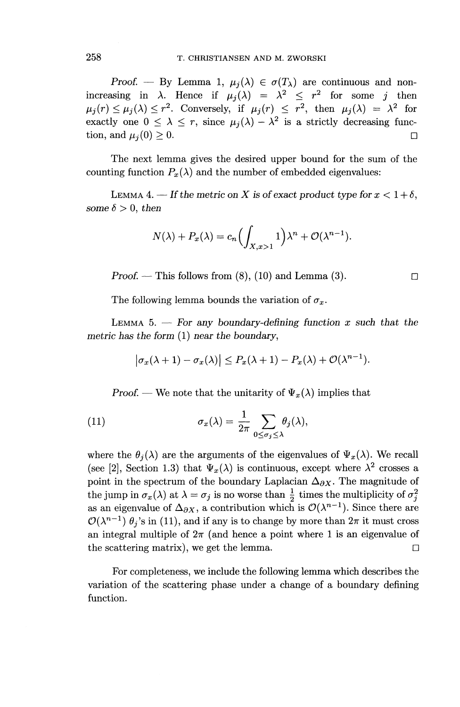*Proof.* — By Lemma 1,  $\mu_i(\lambda) \in \sigma(T_\lambda)$  are continuous and nonincreasing in  $\lambda$ . Hence if  $\mu_j(\lambda) = \lambda^2 \leq r^2$  for some *j* then  $\mu_j(r) \leq \mu_j(\lambda) \leq r^2$ . Conversely, if  $\mu_j(r) \leq r^2$ , then  $\mu_j(\lambda) = \lambda^2$  for exactly one  $0 \leq \lambda \leq r$ , since  $\mu_j(\lambda) - \lambda^2$  is a strictly decreasing function, and  $\mu_i(0) \geq 0$ .

The next lemma gives the desired upper bound for the sum of the counting function  $P_x(\lambda)$  and the number of embedded eigenvalues:

LEMMA 4. — If the metric on X is of exact product type for  $x < 1 + \delta$ , *some*  $\delta > 0$ *, then* 

$$
N(\lambda) + P_x(\lambda) = c_n \left( \int_{X, x > 1} 1 \right) \lambda^n + \mathcal{O}(\lambda^{n-1}).
$$

*Proof.* — This follows from  $(8)$ ,  $(10)$  and Lemma  $(3)$ .

The following lemma bounds the variation of  $\sigma_x$ .

LEMMA 5.  $-$  For any boundary-defining function x such that the *metric has the form* (1) *near the boundary,*

$$
|\sigma_x(\lambda+1)-\sigma_x(\lambda)|\leq P_x(\lambda+1)-P_x(\lambda)+\mathcal{O}(\lambda^{n-1}).
$$

*Proof.* — We note that the unitarity of  $\Psi_x(\lambda)$  implies that

(11) 
$$
\sigma_x(\lambda) = \frac{1}{2\pi} \sum_{0 \le \sigma_j \le \lambda} \theta_j(\lambda),
$$

where the  $\theta_i(\lambda)$  are the arguments of the eigenvalues of  $\Psi_x(\lambda)$ . We recall (see [2], Section 1.3) that  $\Psi_x(\lambda)$  is continuous, except where  $\lambda^2$  crosses a point in the spectrum of the boundary Laplacian  $\Delta_{\partial X}$ . The magnitude of the jump in  $\sigma_x(\lambda)$  at  $\lambda = \sigma_j$  is no worse than  $\frac{1}{2}$  times the multiplicity of  $\sigma_j^2$ as an eigenvalue of  $\Delta_{\partial X}$ , a contribution which is  $\mathcal{O}(\lambda^{n-1})$ . Since there are  $\mathcal{O}(\lambda^{n-1})$   $\theta_i$ 's in (11), and if any is to change by more than  $2\pi$  it must cross an integral multiple of  $2\pi$  (and hence a point where 1 is an eigenvalue of the scattering matrix), we get the lemma.  $\square$ 

For completeness, we include the following lemma which describes the variation of the scattering phase under a change of a boundary defining function.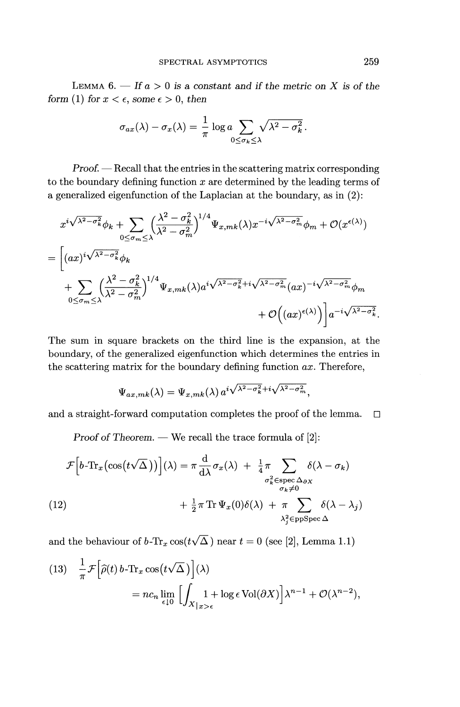LEMMA  $6. -$  If  $a > 0$  is a constant and if the metric on X is of the *form* (1) *for*  $x < \epsilon$ *, some*  $\epsilon > 0$ *, then* 

$$
\sigma_{ax}(\lambda) - \sigma_x(\lambda) = \frac{1}{\pi} \log a \sum_{0 \le \sigma_k \le \lambda} \sqrt{\lambda^2 - \sigma_k^2}.
$$

*Proof. —* Recall that the entries in the scattering matrix corresponding to the boundary defining function *x* are determined by the leading terms of a generalized eigenfunction of the Laplacian at the boundary, as in (2):

$$
x^{i\sqrt{\lambda^{2}-\sigma_{k}^{2}}}\phi_{k} + \sum_{0 \leq \sigma_{m} \leq \lambda} \left(\frac{\lambda^{2}-\sigma_{k}^{2}}{\lambda^{2}-\sigma_{m}^{2}}\right)^{1/4} \Psi_{x,mk}(\lambda) x^{-i\sqrt{\lambda^{2}-\sigma_{m}^{2}}} \phi_{m} + \mathcal{O}(x^{\epsilon(\lambda)})
$$
  
= 
$$
\left[ (ax)^{i\sqrt{\lambda^{2}-\sigma_{k}^{2}}} \phi_{k} + \sum_{0 \leq \sigma_{m} \leq \lambda} \left(\frac{\lambda^{2}-\sigma_{k}^{2}}{\lambda^{2}-\sigma_{m}^{2}}\right)^{1/4} \Psi_{x,mk}(\lambda) a^{i\sqrt{\lambda^{2}-\sigma_{k}^{2}}} + i\sqrt{\lambda^{2}-\sigma_{m}^{2}} (ax)^{-i\sqrt{\lambda^{2}-\sigma_{m}^{2}}} \phi_{m} + \mathcal{O}\left((ax)^{\epsilon(\lambda)}\right) \right] a^{-i\sqrt{\lambda^{2}-\sigma_{k}^{2}}}.
$$

The sum in square brackets on the third line is the expansion, at the boundary, of the generalized eigenfunction which determines the entries in the scattering matrix for the boundary defining function *ax.* Therefore,

$$
\Psi_{ax,mk}(\lambda) = \Psi_{x,mk}(\lambda) a^{i\sqrt{\lambda^2 - \sigma_k^2} + i\sqrt{\lambda^2 - \sigma_m^2}},
$$

and a straight-forward computation completes the proof of the lemma.  $\square$ 

*Proof of Theorem. —* We recall the trace formula of [2]:

$$
\mathcal{F}\left[b\text{-Tr}_x\left(\cos\left(t\sqrt{\Delta}\right)\right)\right](\lambda) = \pi \frac{d}{d\lambda}\sigma_x(\lambda) + \frac{1}{4}\pi \sum_{\substack{\sigma_k^2 \in \text{spec }\Delta_{\partial X} \\ \sigma_k \neq 0}} \delta(\lambda - \sigma_k)
$$
\n
$$
(12) \qquad + \frac{1}{2}\pi \text{Tr}\,\Psi_x(0)\delta(\lambda) + \pi \sum_{\substack{\lambda_j^2 \in \text{ppSpec }\Delta}} \delta(\lambda - \lambda_j)
$$

and the behaviour of  $b\text{-}\mathrm{Tr}_x\cos(t\sqrt{\Delta}\,)$  near  $t = 0$  (see [2], Lemma 1.1)

(13) 
$$
\frac{1}{\pi} \mathcal{F} \Big[ \widehat{\rho}(t) b \cdot \text{Tr}_x \cos(t\sqrt{\Delta}) \Big] (\lambda)
$$
  
=  $nc_n \lim_{\epsilon \downarrow 0} \Big[ \int_{X|_{x > \epsilon}} 1 + \log \epsilon \text{Vol}(\partial X) \Big] \lambda^{n-1} + \mathcal{O}(\lambda^{n-2}),$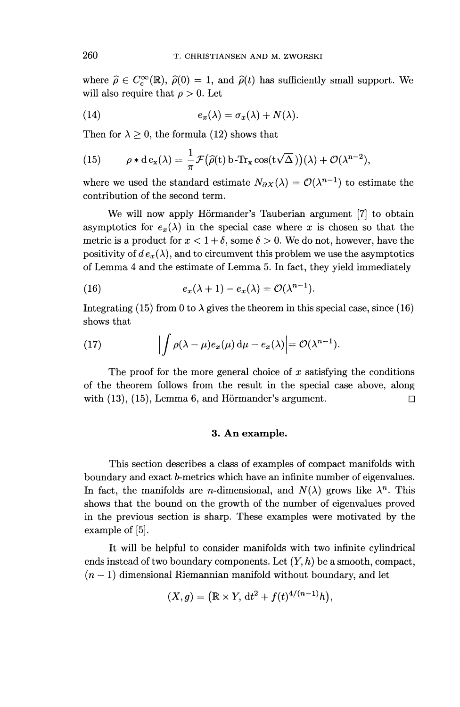where  $\hat{\rho} \in C_c^{\infty}(\mathbb{R})$ ,  $\hat{\rho}(0) = 1$ , and  $\hat{\rho}(t)$  has sufficiently small support. We will also require that  $\rho > 0$ . Let

(14) 
$$
e_x(\lambda) = \sigma_x(\lambda) + N(\lambda).
$$

Then for  $\lambda \geq 0$ , the formula (12) shows that

(15) 
$$
\rho * d e_{x}(\lambda) = \frac{1}{\pi} \mathcal{F}(\widehat{\rho}(t) b \cdot Tr_{x} \cos(t\sqrt{\Delta}))(\lambda) + \mathcal{O}(\lambda^{n-2}),
$$

where we used the standard estimate  $N_{\partial X}(\lambda) = \mathcal{O}(\lambda^{n-1})$  to estimate the contribution of the second term.

We will now apply Hörmander's Tauberian argument [7] to obtain asymptotics for  $e_x(\lambda)$  in the special case where x is chosen so that the metric is a product for  $x < 1 + \delta$ , some  $\delta > 0$ . We do not, however, have the positivity of  $de_x(\lambda)$ , and to circumvent this problem we use the asymptotics of Lemma 4 and the estimate of Lemma 5. In fact, they yield immediately

(16) 
$$
e_x(\lambda + 1) - e_x(\lambda) = \mathcal{O}(\lambda^{n-1}).
$$

Integrating (15) from 0 to  $\lambda$  gives the theorem in this special case, since (16) shows that

(17) 
$$
\left| \int \rho(\lambda - \mu) e_x(\mu) d\mu - e_x(\lambda) \right| = \mathcal{O}(\lambda^{n-1}).
$$

The proof for the more general choice of *x* satisfying the conditions of the theorem follows from the result in the special case above, along with  $(13)$ ,  $(15)$ , Lemma 6, and Hörmander's argument.  $\square$ 

#### **3. An example.**

This section describes a class of examples of compact manifolds with boundary and exact b-metrics which have an infinite number of eigenvalues. In fact, the manifolds are *n*-dimensional, and  $N(\lambda)$  grows like  $\lambda^n$ . This shows that the bound on the growth of the number of eigenvalues proved in the previous section is sharp. These examples were motivated by the example of [5].

It will be helpful to consider manifolds with two infinite cylindrical ends instead of two boundary components. Let (V, *h)* be a smooth, compact,  $(n-1)$  dimensional Riemannian manifold without boundary, and let

$$
(X,g) = (\mathbb{R} \times Y, dt^2 + f(t)^{4/(n-1)}h),
$$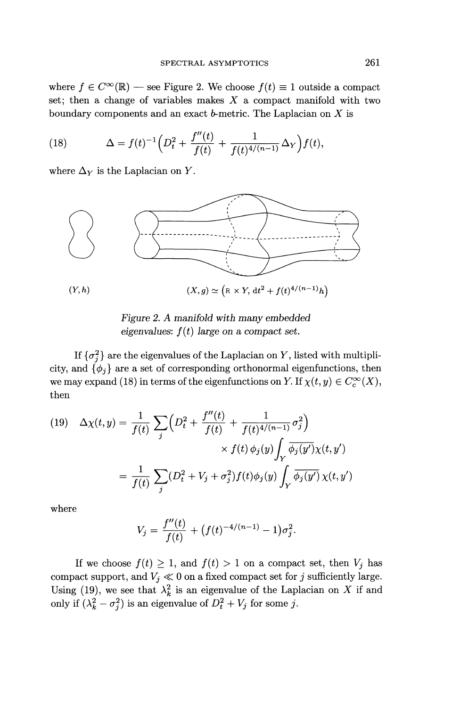where  $f \in C^{\infty}(\mathbb{R})$  — see Figure 2. We choose  $f(t) \equiv 1$  outside a compact set; then a change of variables makes *X* a compact manifold with two

boundary components and an exact *b*-metric. The Laplacian on *X* is  
(18) 
$$
\Delta = f(t)^{-1} \left( D_t^2 + \frac{f''(t)}{f(t)} + \frac{1}{f(t)^{4/(n-1)}} \Delta_Y \right) f(t),
$$

where  $\Delta_Y$  is the Laplacian on Y.



*Figure 2. A manifold with many embedded eigenvalues: f(t) large on a compact set.*

If  $\{\sigma_i^2\}$  are the eigenvalues of the Laplacian on Y, listed with multiplicity, and  $\{\phi_j\}$  are a set of corresponding orthonormal eigenfunctions, then we may expand (18) in terms of the eigenfunctions on *Y*. If  $\chi(t, y) \in C_c^{\infty}(X)$ , then

(19) 
$$
\Delta \chi(t, y) = \frac{1}{f(t)} \sum_{j} \left( D_t^2 + \frac{f''(t)}{f(t)} + \frac{1}{f(t)^{4/(n-1)}} \sigma_j^2 \right) \times f(t) \phi_j(y) \int_Y \overline{\phi_j(y')} \chi(t, y') \newline = \frac{1}{f(t)} \sum_{j} (D_t^2 + V_j + \sigma_j^2) f(t) \phi_j(y) \int_Y \overline{\phi_j(y')} \chi(t, y')
$$

where

$$
V_j = \frac{f''(t)}{f(t)} + (f(t)^{-4/(n-1)} - 1)\sigma_j^2.
$$

If we choose  $f(t) \geq 1$ , and  $f(t) > 1$  on a compact set, then  $V_j$  has compact support, and  $V_j \ll 0$  on a fixed compact set for *j* sufficiently large. Using (19), we see that  $\lambda_k^2$  is an eigenvalue of the Laplacian on X if and only if  $(\lambda_k^2 - \sigma_j^2)$  is an eigenvalue of  $D_t^2 + V_j$  for some j.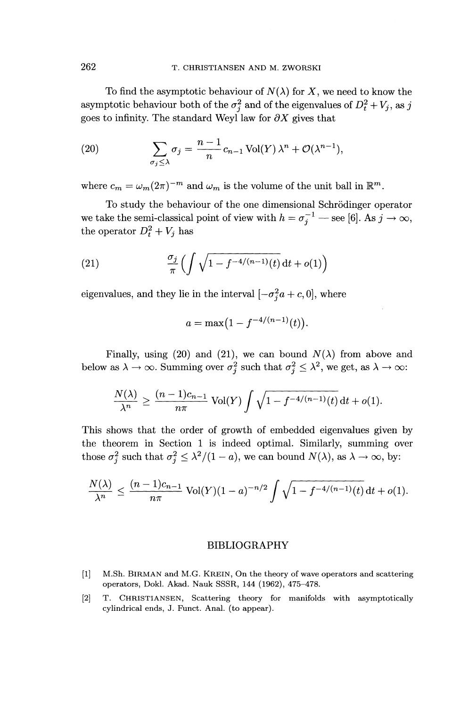To find the asymptotic behaviour of  $N(\lambda)$  for X, we need to know the asymptotic behaviour both of the  $\sigma_i^2$  and of the eigenvalues of  $D_t^2 + V_i$ , as j goes to infinity. The standard Weyl law for  $\partial X$  gives that

(20) 
$$
\sum_{\sigma_j \leq \lambda} \sigma_j = \frac{n-1}{n} c_{n-1} \operatorname{Vol}(Y) \lambda^n + \mathcal{O}(\lambda^{n-1}),
$$

where  $c_m = \omega_m (2\pi)^{-m}$  and  $\omega_m$  is the volume of the unit ball in  $\mathbb{R}^m$ 

To study the behaviour of the one dimensional Schrodinger operator we take the semi-classical point of view with  $h = \sigma_a^{-1}$  — see [6]. As  $j \to \infty$ the operator  $D_t^2 + V_j$  has

(21) 
$$
\frac{\sigma_j}{\pi} \left( \int \sqrt{1 - f^{-4/(n-1)}(t)} \, dt + o(1) \right)
$$

eigenvalues, and they lie in the interval  $[-\sigma_i^2 a + c, 0]$ , where

$$
a = \max(1 - f^{-4/(n-1)}(t)).
$$

Finally, using (20) and (21), we can bound  $N(\lambda)$  from above and below as  $\lambda \to \infty$ . Summing over  $\sigma^2$  such that  $\sigma^2 \leq \lambda^2$ , we get, as  $\lambda \to \infty$ .

$$
\frac{N(\lambda)}{\lambda^n} \ge \frac{(n-1)c_{n-1}}{n\pi} \operatorname{Vol}(Y) \int \sqrt{1 - f^{-4/(n-1)}(t)} \, \mathrm{d}t + o(1).
$$

This shows that the order of growth of embedded eigenvalues given by the theorem in Section 1 is indeed optimal. Similarly, summing over

the theorem in Section 1 is indeed optimal. Similarly, summing over those 
$$
\sigma_j^2
$$
 such that  $\sigma_j^2 \leq \lambda^2/(1-a)$ , we can bound  $N(\lambda)$ , as  $\lambda \to \infty$ , by:  

$$
\frac{N(\lambda)}{\lambda^n} \leq \frac{(n-1)c_{n-1}}{n\pi} \text{Vol}(Y)(1-a)^{-n/2} \int \sqrt{1-f^{-4/(n-1)}(t)} dt + o(1).
$$

#### BIBLIOGRAPHY

- [1] M.Sh. BIRMAN and M.G. KREIN, On the theory of wave operators and scattering operators, Dokl. Akad. Nauk SSSR, 144 (1962), 475-478.
- [2] T. CHRISTIANSEN, Scattering theory for manifolds with asymptotically cylindrical ends, J. Funct. Anal. (to appear).